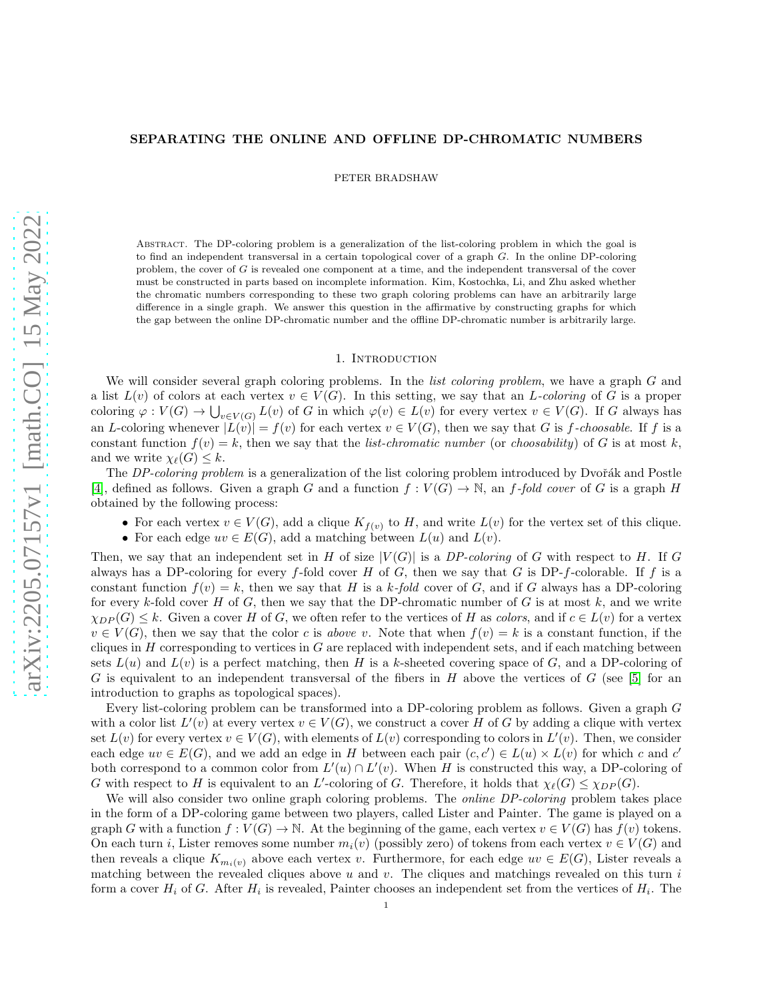### SEPARATING THE ONLINE AND OFFLINE DP-CHROMATIC NUMBERS

PETER BRADSHAW

Abstract. The DP-coloring problem is a generalization of the list-coloring problem in which the goal is to find an independent transversal in a certain topological cover of a graph G. In the online DP-coloring problem, the cover of G is revealed one component at a time, and the independent transversal of the cover must be constructed in parts based on incomplete information. Kim, Kostochka, Li, and Zhu asked whether the chromatic numbers corresponding to these two graph coloring problems can have an arbitrarily large difference in a single graph. We answer this question in the affirmative by constructing graphs for which the gap between the online DP-chromatic number and the offline DP-chromatic number is arbitrarily large.

#### 1. INTRODUCTION

We will consider several graph coloring problems. In the *list coloring problem*, we have a graph G and a list  $L(v)$  of colors at each vertex  $v \in V(G)$ . In this setting, we say that an L-coloring of G is a proper coloring  $\varphi: V(G) \to \bigcup_{v \in V(G)} L(v)$  of G in which  $\varphi(v) \in L(v)$  for every vertex  $v \in V(G)$ . If G always has an L-coloring whenever  $|L(v)| = f(v)$  for each vertex  $v \in V(G)$ , then we say that G is f-choosable. If f is a constant function  $f(v) = k$ , then we say that the *list-chromatic number* (or *choosability*) of G is at most k, and we write  $\chi_{\ell}(G) \leq k$ .

The DP-coloring problem is a generalization of the list coloring problem introduced by Dvořák and Postle [\[4\]](#page-4-0), defined as follows. Given a graph G and a function  $f: V(G) \to \mathbb{N}$ , an f-fold cover of G is a graph H obtained by the following process:

- For each vertex  $v \in V(G)$ , add a clique  $K_{f(v)}$  to H, and write  $L(v)$  for the vertex set of this clique.
- For each edge  $uv \in E(G)$ , add a matching between  $L(u)$  and  $L(v)$ .

Then, we say that an independent set in H of size  $|V(G)|$  is a DP-coloring of G with respect to H. If G always has a DP-coloring for every f-fold cover H of G, then we say that G is DP-f-colorable. If f is a constant function  $f(v) = k$ , then we say that H is a k-fold cover of G, and if G always has a DP-coloring for every k-fold cover H of G, then we say that the DP-chromatic number of G is at most  $k$ , and we write  $\chi_{DP}(G) \leq k$ . Given a cover H of G, we often refer to the vertices of H as colors, and if  $c \in L(v)$  for a vertex  $v \in V(G)$ , then we say that the color c is above v. Note that when  $f(v) = k$  is a constant function, if the cliques in  $H$  corresponding to vertices in  $G$  are replaced with independent sets, and if each matching between sets  $L(u)$  and  $L(v)$  is a perfect matching, then H is a k-sheeted covering space of G, and a DP-coloring of G is equivalent to an independent transversal of the fibers in H above the vertices of G (see  $[5]$  for an introduction to graphs as topological spaces).

Every list-coloring problem can be transformed into a DP-coloring problem as follows. Given a graph G with a color list  $L'(v)$  at every vertex  $v \in V(G)$ , we construct a cover H of G by adding a clique with vertex set  $L(v)$  for every vertex  $v \in V(G)$ , with elements of  $L(v)$  corresponding to colors in  $L'(v)$ . Then, we consider each edge  $uv \in E(G)$ , and we add an edge in H between each pair  $(c, c') \in L(u) \times L(v)$  for which c and c' both correspond to a common color from  $L'(u) \cap L'(v)$ . When H is constructed this way, a DP-coloring of G with respect to H is equivalent to an L'-coloring of G. Therefore, it holds that  $\chi_{\ell}(G) \leq \chi_{DP}(G)$ .

We will also consider two online graph coloring problems. The *online DP-coloring* problem takes place in the form of a DP-coloring game between two players, called Lister and Painter. The game is played on a graph G with a function  $f: V(G) \to \mathbb{N}$ . At the beginning of the game, each vertex  $v \in V(G)$  has  $f(v)$  tokens. On each turn i, Lister removes some number  $m_i(v)$  (possibly zero) of tokens from each vertex  $v \in V(G)$  and then reveals a clique  $K_{m_i(v)}$  above each vertex v. Furthermore, for each edge  $uv \in E(G)$ , Lister reveals a matching between the revealed cliques above  $u$  and  $v$ . The cliques and matchings revealed on this turn  $i$ form a cover  $H_i$  of G. After  $H_i$  is revealed, Painter chooses an independent set from the vertices of  $H_i$ . The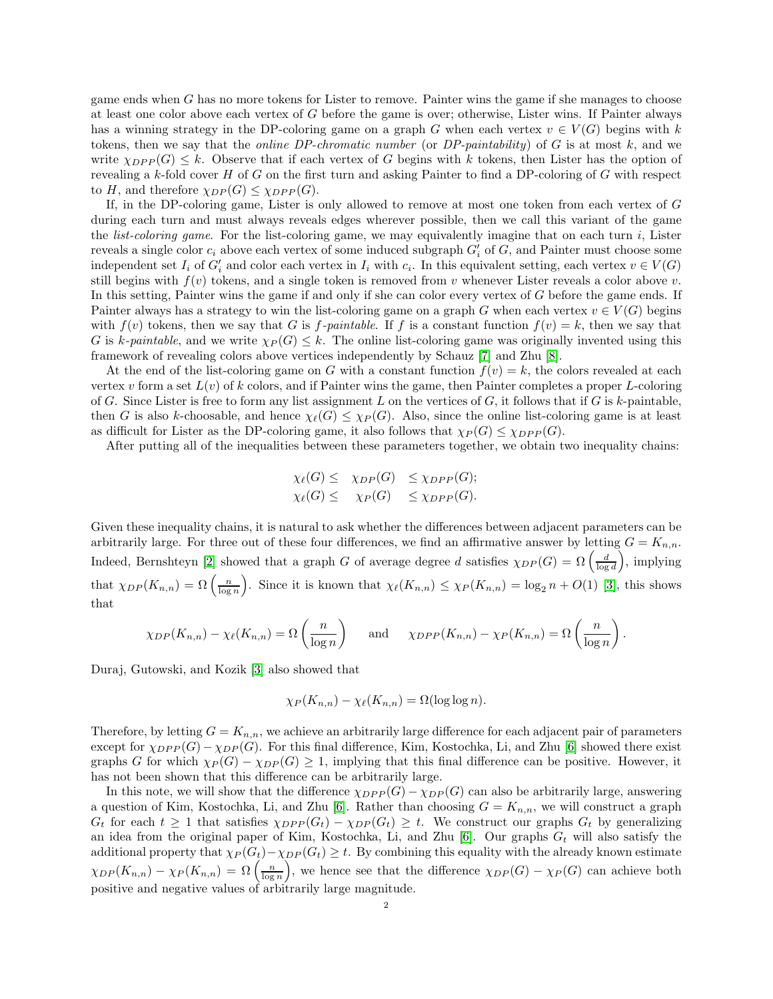game ends when G has no more tokens for Lister to remove. Painter wins the game if she manages to choose at least one color above each vertex of G before the game is over; otherwise, Lister wins. If Painter always has a winning strategy in the DP-coloring game on a graph G when each vertex  $v \in V(G)$  begins with k tokens, then we say that the *online DP-chromatic number* (or  $DP$ -*paintability*) of G is at most k, and we write  $\chi_{DPP}(G) \leq k$ . Observe that if each vertex of G begins with k tokens, then Lister has the option of revealing a k-fold cover  $H$  of G on the first turn and asking Painter to find a DP-coloring of  $G$  with respect to H, and therefore  $\chi_{DP}(G) \leq \chi_{DPP}(G)$ .

If, in the DP-coloring game, Lister is only allowed to remove at most one token from each vertex of G during each turn and must always reveals edges wherever possible, then we call this variant of the game the *list-coloring game*. For the list-coloring game, we may equivalently imagine that on each turn  $i$ , Lister reveals a single color  $c_i$  above each vertex of some induced subgraph  $G'_i$  of  $G$ , and Painter must choose some independent set  $I_i$  of  $G'_i$  and color each vertex in  $I_i$  with  $c_i$ . In this equivalent setting, each vertex  $v \in V(G)$ still begins with  $f(v)$  tokens, and a single token is removed from v whenever Lister reveals a color above v. In this setting, Painter wins the game if and only if she can color every vertex of G before the game ends. If Painter always has a strategy to win the list-coloring game on a graph G when each vertex  $v \in V(G)$  begins with  $f(v)$  tokens, then we say that G is f-paintable. If f is a constant function  $f(v) = k$ , then we say that G is k-paintable, and we write  $\chi_P(G) \leq k$ . The online list-coloring game was originally invented using this framework of revealing colors above vertices independently by Schauz [\[7\]](#page-4-2) and Zhu [\[8\]](#page-4-3).

At the end of the list-coloring game on G with a constant function  $f(v) = k$ , the colors revealed at each vertex v form a set  $L(v)$  of k colors, and if Painter wins the game, then Painter completes a proper L-coloring of G. Since Lister is free to form any list assignment L on the vertices of G, it follows that if G is k-paintable, then G is also k-choosable, and hence  $\chi_{\ell}(G) \leq \chi_P(G)$ . Also, since the online list-coloring game is at least as difficult for Lister as the DP-coloring game, it also follows that  $\chi_P(G) \leq \chi_{DPP}(G)$ .

After putting all of the inequalities between these parameters together, we obtain two inequality chains:

$$
\chi_{\ell}(G) \leq \chi_{DP}(G) \leq \chi_{DPP}(G);
$$
  

$$
\chi_{\ell}(G) \leq \chi_{P}(G) \leq \chi_{DPP}(G).
$$

Given these inequality chains, it is natural to ask whether the differences between adjacent parameters can be arbitrarily large. For three out of these four differences, we find an affirmative answer by letting  $G = K_{n,n}$ . Indeed, Bernshteyn [\[2\]](#page-4-4) showed that a graph G of average degree d satisfies  $\chi_{DP}(G) = \Omega\left(\frac{d}{\log d}\right)$ , implying that  $\chi_{DP}(K_{n,n}) = \Omega\left(\frac{n}{\log n}\right)$ . Since it is known that  $\chi_{\ell}(K_{n,n}) \leq \chi_{P}(K_{n,n}) = \log_2 n + O(1)$  [\[3\]](#page-4-5), this shows that

$$
\chi_{DP}(K_{n,n}) - \chi_{\ell}(K_{n,n}) = \Omega\left(\frac{n}{\log n}\right) \quad \text{and} \quad \chi_{DPP}(K_{n,n}) - \chi_{P}(K_{n,n}) = \Omega\left(\frac{n}{\log n}\right).
$$

Duraj, Gutowski, and Kozik [\[3\]](#page-4-5) also showed that

$$
\chi_P(K_{n,n}) - \chi_{\ell}(K_{n,n}) = \Omega(\log \log n).
$$

Therefore, by letting  $G = K_{n,n}$ , we achieve an arbitrarily large difference for each adjacent pair of parameters except for  $\chi_{DPP}(G)-\chi_{DP}(G)$ . For this final difference, Kim, Kostochka, Li, and Zhu [\[6\]](#page-4-6) showed there exist graphs G for which  $\chi_P(G) - \chi_{DP}(G) \geq 1$ , implying that this final difference can be positive. However, it has not been shown that this difference can be arbitrarily large.

In this note, we will show that the difference  $\chi_{DPP}(G) - \chi_{DP}(G)$  can also be arbitrarily large, answering a question of Kim, Kostochka, Li, and Zhu [\[6\]](#page-4-6). Rather than choosing  $G = K_{n,n}$ , we will construct a graph  $G_t$  for each  $t \geq 1$  that satisfies  $\chi_{DPP}(G_t) - \chi_{DP}(G_t) \geq t$ . We construct our graphs  $G_t$  by generalizing an idea from the original paper of Kim, Kostochka, Li, and Zhu  $[6]$ . Our graphs  $G_t$  will also satisfy the additional property that  $\chi_P(G_t) - \chi_{DP}(G_t) \geq t$ . By combining this equality with the already known estimate  $\chi_{DP}(K_{n,n}) - \chi_{P}(K_{n,n}) = \Omega\left(\frac{n}{\log n}\right)$ , we hence see that the difference  $\chi_{DP}(G) - \chi_{P}(G)$  can achieve both positive and negative values of arbitrarily large magnitude.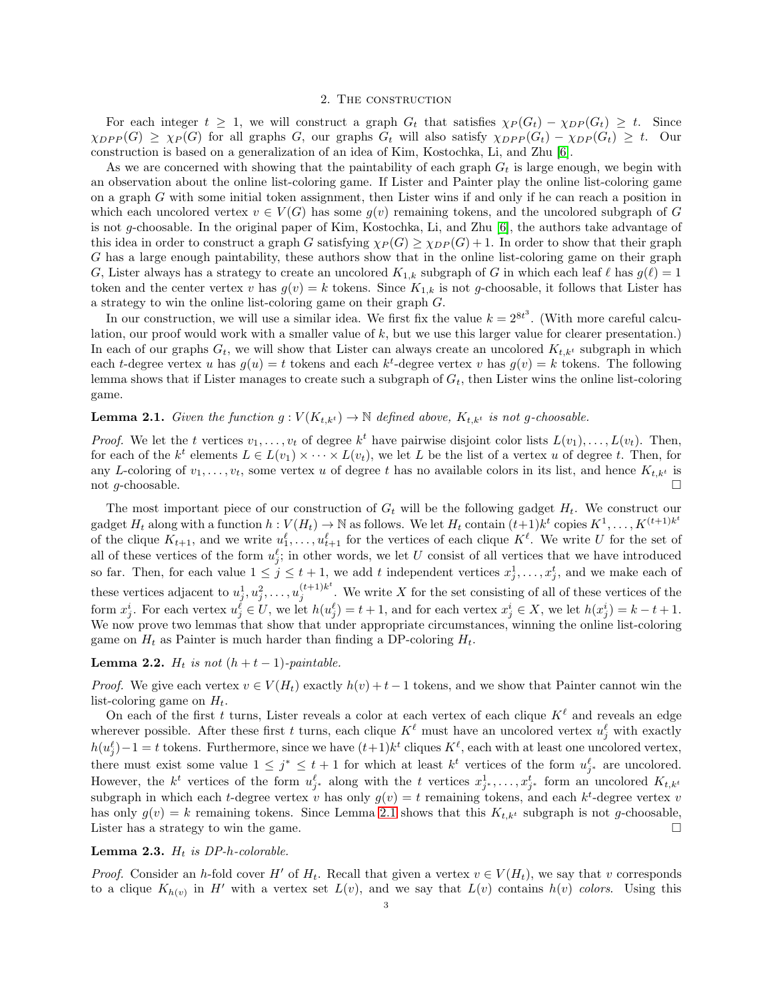#### 2. The construction

For each integer  $t \geq 1$ , we will construct a graph  $G_t$  that satisfies  $\chi_P(G_t) - \chi_{DP}(G_t) \geq t$ . Since  $\chi_{DPP}(G) \geq \chi_{P}(G)$  for all graphs G, our graphs G<sub>t</sub> will also satisfy  $\chi_{DPP}(G_t) - \chi_{DP}(G_t) \geq t$ . Our construction is based on a generalization of an idea of Kim, Kostochka, Li, and Zhu [\[6\]](#page-4-6).

As we are concerned with showing that the paintability of each graph  $G_t$  is large enough, we begin with an observation about the online list-coloring game. If Lister and Painter play the online list-coloring game on a graph G with some initial token assignment, then Lister wins if and only if he can reach a position in which each uncolored vertex  $v \in V(G)$  has some  $q(v)$  remaining tokens, and the uncolored subgraph of G is not g-choosable. In the original paper of Kim, Kostochka, Li, and Zhu [\[6\]](#page-4-6), the authors take advantage of this idea in order to construct a graph G satisfying  $\chi_P(G) \geq \chi_{DP}(G) + 1$ . In order to show that their graph G has a large enough paintability, these authors show that in the online list-coloring game on their graph G, Lister always has a strategy to create an uncolored  $K_{1,k}$  subgraph of G in which each leaf  $\ell$  has  $g(\ell) = 1$ token and the center vertex v has  $g(v) = k$  tokens. Since  $K_{1,k}$  is not g-choosable, it follows that Lister has a strategy to win the online list-coloring game on their graph G.

In our construction, we will use a similar idea. We first fix the value  $k = 2^{8t^3}$ . (With more careful calculation, our proof would work with a smaller value of  $k$ , but we use this larger value for clearer presentation.) In each of our graphs  $G_t$ , we will show that Lister can always create an uncolored  $K_{t,k^t}$  subgraph in which each t-degree vertex u has  $g(u) = t$  tokens and each  $k^t$ -degree vertex v has  $g(v) = k$  tokens. The following lemma shows that if Lister manages to create such a subgraph of  $G_t$ , then Lister wins the online list-coloring game.

# <span id="page-2-0"></span>**Lemma 2.1.** Given the function  $g: V(K_{t,k^t}) \to \mathbb{N}$  defined above,  $K_{t,k^t}$  is not g-choosable.

*Proof.* We let the t vertices  $v_1, \ldots, v_t$  of degree  $k^t$  have pairwise disjoint color lists  $L(v_1), \ldots, L(v_t)$ . Then, for each of the  $k^t$  elements  $L \in L(v_1) \times \cdots \times L(v_t)$ , we let L be the list of a vertex u of degree t. Then, for any L-coloring of  $v_1, \ldots, v_t$ , some vertex u of degree t has no available colors in its list, and hence  $K_{t,k}$  is not g-choosable.  $\Box$ 

The most important piece of our construction of  $G_t$  will be the following gadget  $H_t$ . We construct our gadget  $H_t$  along with a function  $h: V(H_t) \to \mathbb{N}$  as follows. We let  $H_t$  contain  $(t+1)k^t$  copies  $K^1, \ldots, K^{(t+1)k^t}$ of the clique  $K_{t+1}$ , and we write  $u_1^{\ell}, \ldots, u_{t+1}^{\ell}$  for the vertices of each clique  $K^{\ell}$ . We write U for the set of all of these vertices of the form  $u_j^{\ell}$ ; in other words, we let U consist of all vertices that we have introduced so far. Then, for each value  $1 \leq j \leq t+1$ , we add t independent vertices  $x_j^1, \ldots, x_j^t$ , and we make each of these vertices adjacent to  $u_j^1, u_j^2, \ldots, u_j^{(t+1)k^t}$  $j_j^{(k+1)\kappa}$ . We write X for the set consisting of all of these vertices of the form  $x_j^i$ . For each vertex  $u_j^{\ell} \in U$ , we let  $h(u_j^{\ell}) = t + 1$ , and for each vertex  $x_j^i \in X$ , we let  $h(x_j^i) = k - t + 1$ . We now prove two lemmas that show that under appropriate circumstances, winning the online list-coloring game on  $H_t$  as Painter is much harder than finding a DP-coloring  $H_t$ .

## <span id="page-2-2"></span>**Lemma 2.2.**  $H_t$  is not  $(h + t - 1)$ -paintable.

*Proof.* We give each vertex  $v \in V(H_t)$  exactly  $h(v) + t - 1$  tokens, and we show that Painter cannot win the list-coloring game on  $H_t$ .

On each of the first t turns, Lister reveals a color at each vertex of each clique  $K^{\ell}$  and reveals an edge wherever possible. After these first t turns, each clique  $K^{\ell}$  must have an uncolored vertex  $u_j^{\ell}$  with exactly  $h(u_j^{\ell})-1 = t$  tokens. Furthermore, since we have  $(t+1)k^t$  cliques  $K^{\ell}$ , each with at least one uncolored vertex, there must exist some value  $1 \leq j^* \leq t+1$  for which at least  $k^t$  vertices of the form  $u_{j^*}^{\ell}$  are uncolored. However, the  $k^t$  vertices of the form  $u_{j^*}^{\ell}$  along with the t vertices  $x_{j^*}^1, \ldots, x_{j^*}^t$  form an uncolored  $K_{t,k^t}$ subgraph in which each t-degree vertex v has only  $g(v) = t$  remaining tokens, and each  $k^t$ -degree vertex v has only  $g(v) = k$  remaining tokens. Since Lemma [2.1](#page-2-0) shows that this  $K_{t,k}$  subgraph is not g-choosable, Lister has a strategy to win the game.

## <span id="page-2-1"></span>Lemma 2.3.  $H_t$  is DP-h-colorable.

*Proof.* Consider an h-fold cover H' of  $H_t$ . Recall that given a vertex  $v \in V(H_t)$ , we say that v corresponds to a clique  $K_{h(v)}$  in H' with a vertex set  $L(v)$ , and we say that  $L(v)$  contains  $h(v)$  colors. Using this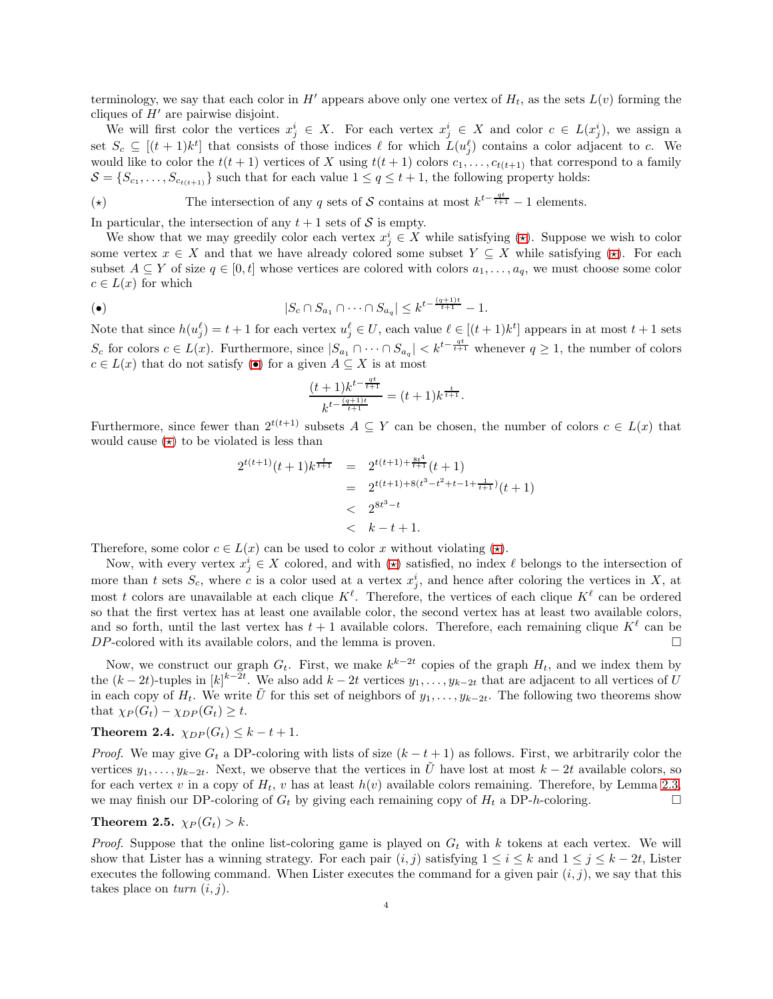terminology, we say that each color in H' appears above only one vertex of  $H_t$ , as the sets  $L(v)$  forming the cliques of  $H'$  are pairwise disjoint.

We will first color the vertices  $x_j^i \in X$ . For each vertex  $x_j^i \in X$  and color  $c \in L(x_j^i)$ , we assign a set  $S_c \subseteq [(t+1)k^t]$  that consists of those indices  $\ell$  for which  $L(u_j^{\ell})$  contains a color adjacent to c. We would like to color the  $t(t + 1)$  vertices of X using  $t(t + 1)$  colors  $c_1, \ldots, c_{t(t+1)}$  that correspond to a family  $S = \{S_{c_1}, \ldots, S_{c_{t(t+1)}}\}$  such that for each value  $1 \le q \le t+1$ , the following property holds:

<span id="page-3-0"></span>(★) The intersection of any q sets of S contains at most  $k^{t-\frac{qt}{t+1}}-1$  elements.

In particular, the intersection of any  $t + 1$  sets of S is empty.

We show that we may greedily color each vertex  $x_j^i \in X$  while satisfying  $(\star)$ . Suppose we wish to color some vertex  $x \in X$  and that we have already colored some subset  $Y \subseteq X$  while satisfying  $(\star)$ . For each subset  $A \subseteq Y$  of size  $q \in [0, t]$  whose vertices are colored with colors  $a_1, \ldots, a_q$ , we must choose some color  $c \in L(x)$  for which

<span id="page-3-1"></span>
$$
|S_c \cap S_{a_1} \cap \dots \cap S_{a_q}| \le k^{t - \frac{(q+1)t}{t+1}} - 1.
$$

Note that since  $h(u_j^{\ell}) = t + 1$  for each vertex  $u_j^{\ell} \in U$ , each value  $\ell \in [(t+1)k^t]$  appears in at most  $t+1$  sets  $S_c$  for colors  $c \in L(x)$ . Furthermore, since  $|S_{a_1} \cap \cdots \cap S_{a_q}| < k^{t-\frac{qt}{t+1}}$  whenever  $q \ge 1$ , the number of colors  $c \in L(x)$  that do not satisfy ([•](#page-3-1)) for a given  $A \subseteq X$  is at most

$$
\frac{(t+1)k^{t-\frac{qt}{t+1}}}{k^{t-\frac{(q+1)t}{t+1}}} = (t+1)k^{\frac{t}{t+1}}.
$$

Furthermore, since fewer than  $2^{t(t+1)}$  subsets  $A \subseteq Y$  can be chosen, the number of colors  $c \in L(x)$  that would cause  $(\star)$  to be violated is less than

$$
2^{t(t+1)}(t+1)k^{\frac{t}{t+1}} = 2^{t(t+1)+\frac{8t^4}{t+1}}(t+1)
$$
  
=  $2^{t(t+1)+8(t^3-t^2+t-1+\frac{1}{t+1})}(t+1)$   
<  $2^{8t^3-t}$   
<  $k-t+1$ .

Therefore, some color  $c \in L(x)$  can be used to color x without violating  $(\star)$ .

Now, with every vertex  $x_j^i \in X$  colored, and with  $(\star)$  satisfied, no index  $\ell$  belongs to the intersection of more than t sets  $S_c$ , where c is a color used at a vertex  $x_j^i$ , and hence after coloring the vertices in X, at most t colors are unavailable at each clique  $K^{\ell}$ . Therefore, the vertices of each clique  $K^{\ell}$  can be ordered so that the first vertex has at least one available color, the second vertex has at least two available colors, and so forth, until the last vertex has  $t + 1$  available colors. Therefore, each remaining clique  $K^{\ell}$  can be  $DP$ -colored with its available colors, and the lemma is proven.  $\square$ 

Now, we construct our graph  $G_t$ . First, we make  $k^{k-2t}$  copies of the graph  $H_t$ , and we index them by the  $(k-2t)$ -tuples in  $[k]^{k-2t}$ . We also add  $k-2t$  vertices  $y_1, \ldots, y_{k-2t}$  that are adjacent to all vertices of U in each copy of  $H_t$ . We write U for this set of neighbors of  $y_1, \ldots, y_{k-2t}$ . The following two theorems show that  $\chi_P(G_t) - \chi_{DP}(G_t) \geq t$ .

Theorem 2.4.  $\chi_{DP}(G_t) \leq k - t + 1$ .

*Proof.* We may give  $G_t$  a DP-coloring with lists of size  $(k - t + 1)$  as follows. First, we arbitrarily color the vertices  $y_1, \ldots, y_{k-2t}$ . Next, we observe that the vertices in  $\tilde{U}$  have lost at most  $k-2t$  available colors, so for each vertex v in a copy of  $H_t$ , v has at least  $h(v)$  available colors remaining. Therefore, by Lemma [2.3,](#page-2-1) we may finish our DP-coloring of  $G_t$  by giving each remaining copy of  $H_t$  a DP-h-coloring.

### **Theorem 2.5.**  $\chi_P(G_t) > k$ .

*Proof.* Suppose that the online list-coloring game is played on  $G_t$  with k tokens at each vertex. We will show that Lister has a winning strategy. For each pair  $(i, j)$  satisfying  $1 \le i \le k$  and  $1 \le j \le k - 2t$ , Lister executes the following command. When Lister executes the command for a given pair  $(i, j)$ , we say that this takes place on  $turn (i, j)$ .